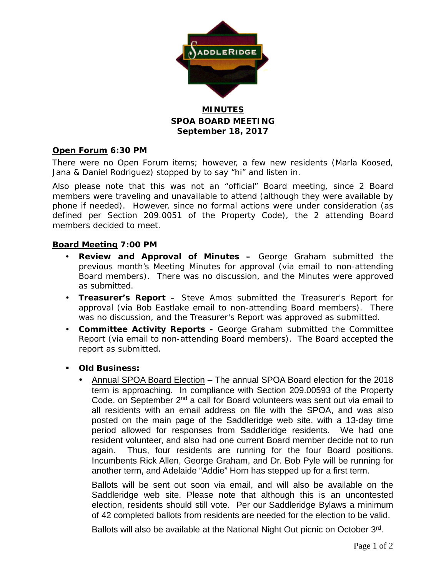

## **MINUTES SPOA BOARD MEETING September 18, 2017**

#### **Open Forum 6:30 PM**

There were no Open Forum items; however, a few new residents (Marla Koosed, Jana & Daniel Rodriguez) stopped by to say "hi" and listen in.

Also please note that this was not an "official" Board meeting, since 2 Board members were traveling and unavailable to attend (although they were available by phone if needed). However, since no formal actions were under consideration (as defined per Section 209.0051 of the Property Code), the 2 attending Board members decided to meet.

#### **Board Meeting 7:00 PM**

- **Review and Approval of Minutes –** George Graham submitted the previous month's Meeting Minutes for approval (via email to non-attending Board members). There was no discussion, and the Minutes were approved as submitted.
- **Treasurer's Report –** Steve Amos submitted the Treasurer's Report for approval (via Bob Eastlake email to non-attending Board members). There was no discussion, and the Treasurer's Report was approved as submitted.
- **Committee Activity Reports -** George Graham submitted the Committee Report (via email to non-attending Board members). The Board accepted the report as submitted.
- **Old Business:**
	- Annual SPOA Board Election The annual SPOA Board election for the 2018 term is approaching. In compliance with Section 209.00593 of the Property Code, on September  $2^{nd}$  a call for Board volunteers was sent out via email to all residents with an email address on file with the SPOA, and was also posted on the main page of the Saddleridge web site, with a 13-day time period allowed for responses from Saddleridge residents. We had one resident volunteer, and also had one current Board member decide not to run again. Thus, four residents are running for the four Board positions. Incumbents Rick Allen, George Graham, and Dr. Bob Pyle will be running for another term, and Adelaide "Addie" Horn has stepped up for a first term.

Ballots will be sent out soon via email, and will also be available on the Saddleridge web site. Please note that although this is an uncontested election, residents should still vote. Per our Saddleridge Bylaws a minimum of 42 completed ballots from residents are needed for the election to be valid.

Ballots will also be available at the National Night Out picnic on October 3rd.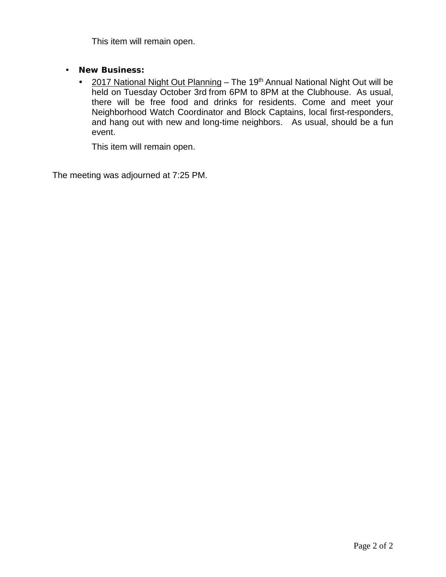This item will remain open.

- **New Business:**
	- 2017 National Night Out Planning The 19<sup>th</sup> Annual National Night Out will be held on Tuesday October 3rd from 6PM to 8PM at the Clubhouse. As usual, there will be free food and drinks for residents. Come and meet your Neighborhood Watch Coordinator and Block Captains, local first-responders, and hang out with new and long-time neighbors. As usual, should be a fun event.

This item will remain open.

The meeting was adjourned at 7:25 PM.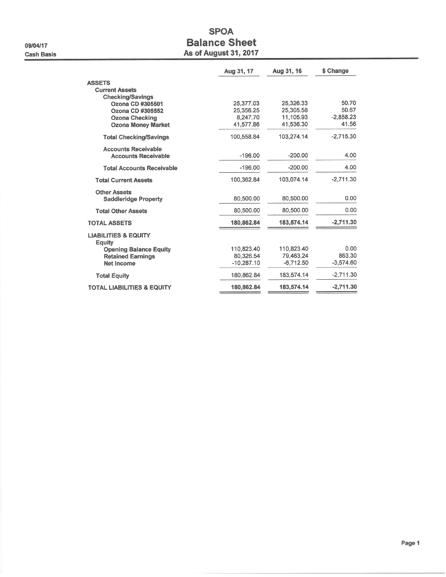09/04/17 **Cash Basis** 

# **SPOA Balance Sheet As of August 31, 2017**

|                                           | Aug 31, 17   | Aug 31, 16  | \$ Change   |
|-------------------------------------------|--------------|-------------|-------------|
| <b>ASSETS</b>                             |              |             |             |
| <b>Current Assets</b>                     |              |             |             |
| <b>Checking/Savings</b>                   |              |             |             |
| Ozona CD #305501                          | 25,377.03    | 25,326.33   | 50.70       |
| Ozona CD #305552                          | 25,356.25    | 25.305.58   | 50.67       |
| <b>Ozona Checking</b>                     | 8.247.70     | 11,105.93   | $-2.858.23$ |
| <b>Ozona Money Market</b>                 | 41.577.86    | 41,536.30   | 41.56       |
| <b>Total Checking/Savings</b>             | 100.558.84   | 103,274.14  | $-2.715.30$ |
| <b>Accounts Receivable</b>                |              |             |             |
| <b>Accounts Receivable</b>                | $-196.00$    | $-200.00$   | 4.00        |
| <b>Total Accounts Receivable</b>          | $-196.00$    | $-200.00$   | 4.00        |
| <b>Total Current Assets</b>               | 100,362.84   | 103.074.14  | $-2.711.30$ |
| <b>Other Assets</b>                       |              |             |             |
| <b>Saddleridge Property</b>               | 80,500.00    | 80,500.00   | 0.00        |
| <b>Total Other Assets</b>                 | 80,500.00    | 80,500.00   | 0.00        |
| <b>TOTAL ASSETS</b>                       | 180,862.84   | 183,574.14  | $-2,711.30$ |
| <b>LIABILITIES &amp; EQUITY</b><br>Equity |              |             |             |
| <b>Opening Balance Equity</b>             | 110.823.40   | 110,823.40  | 0.00        |
| <b>Retained Earnings</b>                  | 80,326.54    | 79,463.24   | 863.30      |
| <b>Net Income</b>                         | $-10,287.10$ | $-6.712.50$ | $-3.574.60$ |
| <b>Total Equity</b>                       | 180.862.84   | 183,574.14  | $-2,711.30$ |
| <b>TOTAL LIABILITIES &amp; EQUITY</b>     | 180,862.84   | 183,574.14  | $-2,711,30$ |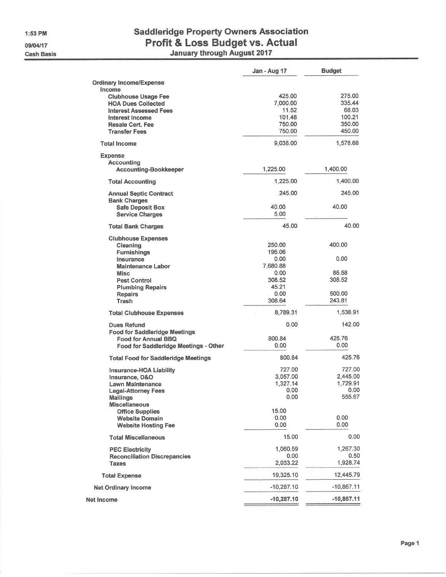1:53 PM 09/04/17

**Cash Basis** 

# **Saddleridge Property Owners Association** Profit & Loss Budget vs. Actual<br>January through August 2017

|                                            | Jan - Aug 17 | Budget       |
|--------------------------------------------|--------------|--------------|
| <b>Ordinary Income/Expense</b>             |              |              |
| Income                                     |              |              |
| <b>Clubhouse Usage Fee</b>                 | 425.00       | 275.00       |
| <b>HOA Dues Collected</b>                  | 7,000.00     | 335.44       |
| <b>Interest Assessed Fees</b>              | 11.52        | 68.03        |
| Interest Income                            | 101.48       | 100.21       |
| <b>Resale Cert. Fee</b>                    | 750.00       | 350.00       |
| <b>Transfer Fees</b>                       | 750.00       | 450.00       |
| <b>Total Income</b>                        | 9,038.00     | 1,578.68     |
|                                            |              |              |
| <b>Expense</b>                             |              |              |
| Accounting<br><b>Accounting-Bookkeeper</b> | 1,225.00     | 1,400.00     |
|                                            |              |              |
| <b>Total Accounting</b>                    | 1,225.00     | 1,400.00     |
| <b>Annual Septic Contract</b>              | 245.00       | 245.00       |
| <b>Bank Charges</b>                        |              |              |
| <b>Safe Deposit Box</b>                    | 40.00        | 40.00        |
| <b>Service Charges</b>                     | 5.00         |              |
| <b>Total Bank Charges</b>                  | 45.00        | 40.00        |
| <b>Clubhouse Expenses</b>                  |              |              |
| Cleaning                                   | 250.00       | 400.00       |
| <b>Furnishings</b>                         | 196.06       |              |
| Insurance                                  | 0.00         | 0.00         |
| <b>Maintenance Labor</b>                   | 7,680.88     |              |
| Misc.                                      | 0.00         | 86.58        |
| <b>Pest Control</b>                        | 308.52       | 308.52       |
| <b>Plumbing Repairs</b>                    | 45.21        |              |
| <b>Repairs</b>                             | 0.00         | 500.00       |
| Trash                                      | 308.64       | 243.81       |
| <b>Total Clubhouse Expenses</b>            | 8,789.31     | 1,538.91     |
|                                            |              |              |
| <b>Dues Refund</b>                         | 0.00         | 142.00       |
| <b>Food for Saddleridge Meetings</b>       |              |              |
| <b>Food for Annual BBQ</b>                 | 800.84       | 425.76       |
| Food for Saddleridge Meetings - Other      | 0.00         | 0.00         |
| <b>Total Food for Saddleridge Meetings</b> | 800.84       | 425.76       |
| Insurance-HOA Liability                    | 727.00       | 727.00       |
| Insurance, D&O                             | 3.057.00     | 2,445.00     |
| <b>Lawn Maintenance</b>                    | 1,327.14     | 1,729.91     |
| <b>Legal-Attorney Fees</b>                 | 0.00         | 0.00         |
| <b>Mailings</b>                            | 0.00         | 555.67       |
| <b>Miscellaneous</b>                       |              |              |
| <b>Office Supplies</b>                     | 15.00        |              |
| <b>Website Domain</b>                      | 0.00         | 0.00         |
| <b>Website Hosting Fee</b>                 | 0.00         | 0.00         |
| <b>Total Miscellaneous</b>                 | 15.00        | 0.00         |
|                                            |              |              |
| <b>PEC Electricity</b>                     | 1,060.59     | 1,267.30     |
| <b>Reconciliation Discrepancies</b>        | 0.00         | 0.50         |
| <b>Taxes</b>                               | 2,033.22     | 1,928.74     |
| <b>Total Expense</b>                       | 19,325.10    | 12,445.79    |
| <b>Net Ordinary Income</b>                 | $-10,287.10$ | $-10,867.11$ |
| <b>Net Income</b>                          | $-10,287.10$ | $-10,867.11$ |
|                                            |              |              |